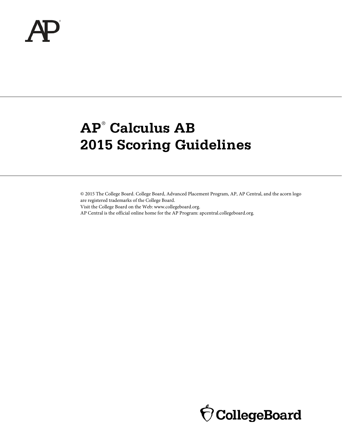

# **AP**® **Calculus AB 2015 Scoring Guidelines**

© 2015 The College Board. College Board, Advanced Placement Program, AP, AP Central, and the acorn logo are registered trademarks of the College Board.

Visit the College Board on the Web: www.collegeboard.org.

AP Central is the official online home for the AP Program: apcentral.collegeboard.org.

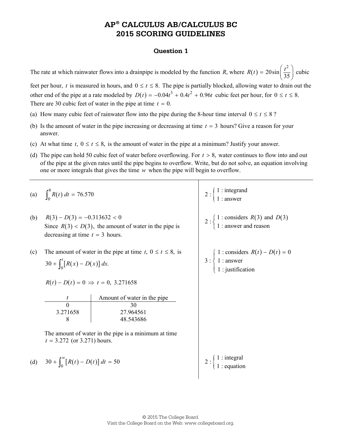# **AP® CALCULUS AB/CALCULUS BC 2015 SCORING GUIDELINES**

#### **Question 1**

The rate at which rainwater flows into a drainpipe is modeled by the function  $R$ , where  $R(t)$ 2  $R(t) = 20\sin\left(\frac{t^2}{35}\right)$ cubic

feet per hour, *t* is measured in hours, and  $0 \le t \le 8$ . The pipe is partially blocked, allowing water to drain out the other end of the pipe at a rate modeled by  $D(t) = -0.04t^3 + 0.4t^2 + 0.96t$  cubic feet per hour, for 0 ≤ t ≤ 8. There are 30 cubic feet of water in the pipe at time  $t = 0$ .

- (a) How many cubic feet of rainwater flow into the pipe during the 8-hour time interval  $0 \le t \le 8$ ?
- (b) Is the amount of water in the pipe increasing or decreasing at time *t* = 3 hours? Give a reason for your answer.
- (c) At what time  $t, 0 \le t \le 8$ , is the amount of water in the pipe at a minimum? Justify your answer.
- (d) The pipe can hold 50 cubic feet of water before overflowing. For *t* > 8, water continues to flow into and out of the pipe at the given rates until the pipe begins to overflow. Write, but do not solve, an equation involving one or more integrals that gives the time *w* when the pipe will begin to overflow.

|     | (a) $\int_0^8 R(t) dt = 76.570$                                                                                                | $2:\begin{cases} 1: \text{integrand} \\ 1: \text{answer} \end{cases}$                                                  |
|-----|--------------------------------------------------------------------------------------------------------------------------------|------------------------------------------------------------------------------------------------------------------------|
| (b) | $R(3) - D(3) = -0.313632 < 0$<br>Since $R(3) < D(3)$ , the amount of water in the pipe is<br>decreasing at time $t = 3$ hours. | 2 : $\begin{cases} 1 : \text{considers } R(3) \text{ and } D(3) \\ 1 : \text{answer and reason} \end{cases}$           |
| (c) | The amount of water in the pipe at time t, $0 \le t \le 8$ , is<br>$30 + \int_0^t [R(x) - D(x)] dx$ .                          | 3 : $\begin{cases} 1 : \text{considers } R(t) - D(t) = 0 \\ 1 : \text{answer} \\ 1 : \text{justification} \end{cases}$ |
|     | $R(t) - D(t) = 0 \implies t = 0, 3.271658$                                                                                     |                                                                                                                        |
|     | Amount of water in the pipe<br>30<br>3.271658<br>27.964561<br>8<br>48.543686                                                   |                                                                                                                        |
|     | The amount of water in the pipe is a minimum at time<br>$t = 3.272$ (or 3.271) hours.                                          |                                                                                                                        |
|     | (d) $30 + \int_0^w [R(t) - D(t)] dt = 50$                                                                                      | $1:$ integral<br>$1:$ equation                                                                                         |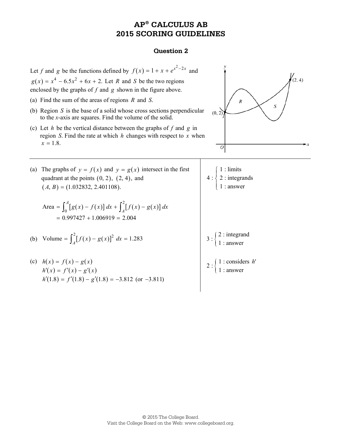## **AP® CALCULUS AB 2015 SCORING GUIDELINES**

### **Question 2**

Let *f* and *g* be the functions defined by  $f(x) = 1 + x + e^{x^2 - 2x}$  and  $(2, 4)$  $g(x) = x^4 - 6.5x^2 + 6x + 2$ . Let *R* and *S* be the two regions enclosed by the graphs of *f* and *g* shown in the figure above. (a) Find the sum of the areas of regions *R* and *S*.  $\boldsymbol{R}$ S (b) Region *S* is the base of a solid whose cross sections perpendicular  $(0, 2)$ to the *x*-axis are squares. Find the volume of the solid. (c) Let *h* be the vertical distance between the graphs of *f* and *g* in region *S*. Find the rate at which *h* changes with respect to *x* when  $x = 1.8$ .  $\overline{o}$ (a) The graphs of  $y = f(x)$  and  $y = g(x)$  intersect in the first 1 : limits  $\sqrt{ }$  $\overline{ }$  $2$  : integrands quadrant at the points  $(0, 2)$ ,  $(2, 4)$ , and ┤  $\overline{1}$  1 : answer  $(A, B) = (1.032832, 2.401108).$  $\overline{\mathfrak{l}}$ Area =  $\int_0^A [g(x) - f(x)] dx + \int_A^2 [f(x) - g(x)]$  $=\int_0^A [g(x) - f(x)] dx + \int_A^2 [f(x) - g(x)] dx$  $= 0.997427 + 1.006919 = 2.004$ (b) Volume =  $\int_{A}^{2} [f(x) - g(x)]^{2} dx = 1.283$  <br>3 :  $\begin{cases} 2 : \text{integrand} \\ 1 : \text{answer} \end{cases}$  1 : answer (c)  $h(x) = f(x) - g(x)$  $2:\begin{cases} 1 : \text{considers} \\ 1 : \text{answer} \end{cases}$ *h*′ $h'(x) = f'(x) - g'(x)$  $h'(1.8) = f'(1.8) - g'(1.8) = -3.812$  (or  $-3.811$ )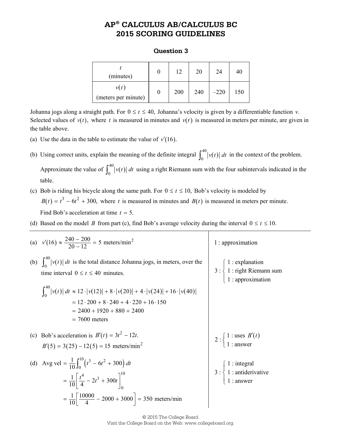# **AP® CALCULUS AB/CALCULUS BC 2015 SCORING GUIDELINES**

## **Question 3**

| (minutes)                       | 12  | 20  | 24     | 40  |
|---------------------------------|-----|-----|--------|-----|
| $\nu(t)$<br>(meters per minute) | 200 | 240 | $-220$ | 150 |

Johanna jogs along a straight path. For  $0 \le t \le 40$ , Johanna's velocity is given by a differentiable function *v*. Selected values of  $v(t)$ , where t is measured in minutes and  $v(t)$  is measured in meters per minute, are given in the table above.

(a) Use the data in the table to estimate the value of  $v'(16)$ .

table.

- (b) Using correct units, explain the meaning of the definite integral  $\int_0^{40} |v(t)| dt$  in the context of the problem. Approximate the value of  $\int_0^{40} |v(t)| dt$  using a right Riemann sum with the four subintervals indicated in the
- (c) Bob is riding his bicycle along the same path. For  $0 \le t \le 10$ , Bob's velocity is modeled by  $B(t) = t^3 - 6t^2 + 300$ , where *t* is measured in minutes and *B(t)* is measured in meters per minute. Find Bob's acceleration at time  $t = 5$ .
- (d) Based on the model *B* from part (c), find Bob's average velocity during the interval  $0 \le t \le 10$ .

| (a) $v'(16) \approx \frac{240 - 200}{20 - 12} = 5$ meters/min <sup>2</sup>                                                       | 1 : approximation                                                                                                  |
|----------------------------------------------------------------------------------------------------------------------------------|--------------------------------------------------------------------------------------------------------------------|
| (b) $\int_{0}^{40}  v(t)  dt$ is the total distance Johanna jogs, in meters, over the<br>time interval $0 \le t \le 40$ minutes. | 3 : $\begin{cases} 1 : \text{explanation} \\ 1 : \text{right Riemann sum} \\ 1 : \text{approximation} \end{cases}$ |
| $\int_0^{40}  v(t)  dt \approx 12 \cdot  v(12)  + 8 \cdot  v(20)  + 4 \cdot  v(24)  + 16 \cdot  v(40) $                          |                                                                                                                    |
| $= 12 \cdot 200 + 8 \cdot 240 + 4 \cdot 220 + 16 \cdot 150$<br>$= 2400 + 1920 + 880 + 2400$<br>$= 7600$ meters                   |                                                                                                                    |
| (c) Bob's acceleration is $B'(t) = 3t^2 - 12t$ .<br>$B'(5) = 3(25) - 12(5) = 15$ meters/min <sup>2</sup>                         | 2 : $\begin{cases} 1 : \text{uses } B'(t) \\ 1 : \text{answer} \end{cases}$                                        |
| (d) Avg vel = $\frac{1}{10} \int_0^{10} (t^3 - 6t^2 + 300) dt$<br>$=\frac{1}{10}\left[\frac{t^4}{4}-2t^3+300t\right]_0^{10}$     | 3 : $\begin{cases} 1 : \text{integral} \\ 1 : \text{antiderivative} \\ 1 : \text{answer} \end{cases}$              |
| $=\frac{1}{10}\left[\frac{10000}{4}-2000+3000\right]=350$ meters/min                                                             |                                                                                                                    |

© 2015 The College Board. Visit the College Board on the Web: www.collegeboard.org.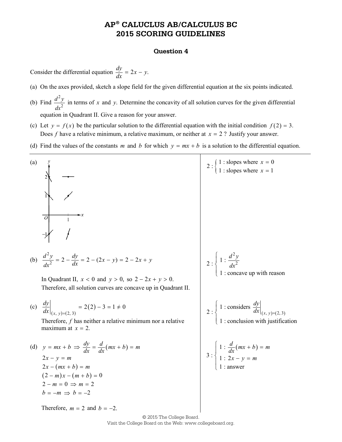## **AP® CALUCLUS AB/CALCULUS BC 2015 SCORING GUIDELINES**

#### **Question 4**

Consider the differential equation  $\frac{dy}{dx} = 2x - y$ .

- (a) On the axes provided, sketch a slope field for the given differential equation at the six points indicated.
- (b) Find 2 2  $d^2y$ *dx* in terms of *x* and *y*. Determine the concavity of all solution curves for the given differential equation in Quadrant II. Give a reason for your answer.
- (c) Let  $y = f(x)$  be the particular solution to the differential equation with the initial condition  $f(2) = 3$ . Does *f* have a relative minimum, a relative maximum, or neither at *x* = 2 ? Justify your answer.
- (d) Find the values of the constants *m* and *b* for which  $y = mx + b$  is a solution to the differential equation.



© 2015 The College Board. Visit the College Board on the Web: www.collegeboard.org.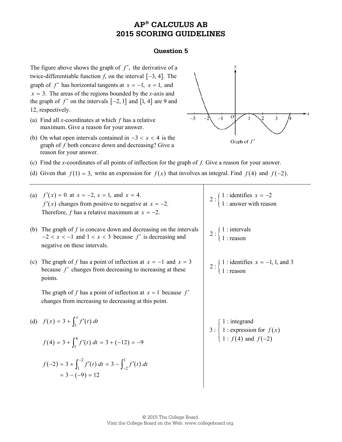## **AP® CALCULUS AB 2015 SCORING GUIDELINES**

#### **Question 5**

The figure above shows the graph of *f'*, the derivative of a twice-differentiable function  $f$ , on the interval  $[-3, 4]$ . The graph of *f'* has horizontal tangents at  $x = -1$ ,  $x = 1$ , and  $x = 3$ . The areas of the regions bounded by the *x*-axis and the graph of  $f'$  on the intervals  $[-2, 1]$  and  $[1, 4]$  are 9 and 12, respectively.

- (a) Find all *x*-coordinates at which *f* has a relative maximum. Give a reason for your answer.
- (b) On what open intervals contained in  $-3 < x < 4$  is the graph of *f* both concave down and decreasing? Give a reason for your answer.



- (c) Find the *x*-coordinates of all points of inflection for the graph of *f*. Give a reason for your answer.
- (d) Given that  $f(1) = 3$ , write an expression for  $f(x)$  that involves an integral. Find  $f(4)$  and  $f(-2)$ .

|     | (a) $f'(x) = 0$ at $x = -2$ , $x = 1$ , and $x = 4$ .<br>$f'(x)$ changes from positive to negative at $x = -2$ .<br>Therefore, f has a relative maximum at $x = -2$ . | 2 : $\begin{cases} 1 :$ identifies $x = -2 \\ 1 :$ answer with reason                                                  |  |
|-----|-----------------------------------------------------------------------------------------------------------------------------------------------------------------------|------------------------------------------------------------------------------------------------------------------------|--|
|     | (b) The graph of $f$ is concave down and decreasing on the intervals<br>$-2 < x < -1$ and $1 < x < 3$ because f' is decreasing and<br>negative on these intervals.    | 2 : $\begin{cases} 1 : \text{intervals} \\ 1 : \text{reason} \end{cases}$                                              |  |
| (c) | The graph of f has a point of inflection at $x = -1$ and $x = 3$<br>because $f'$ changes from decreasing to increasing at these<br>points.                            | 2 : $\begin{cases} 1 : \text{identifies } x = -1, 1, \text{ and } 3 \\ 1 : \text{reason} \end{cases}$                  |  |
|     | The graph of f has a point of inflection at $x = 1$ because f'<br>changes from increasing to decreasing at this point.                                                |                                                                                                                        |  |
|     | (d) $f(x) = 3 + \int_1^x f'(t) dt$                                                                                                                                    | 3 : $\begin{cases} 1 : \text{integrand} \\ 1 : \text{expression for } f(x) \\ 1 : f(4) \text{ and } f(-2) \end{cases}$ |  |
|     | $f(4) = 3 + \int_1^4 f'(t) dt = 3 + (-12) = -9$                                                                                                                       |                                                                                                                        |  |
|     | $f(-2) = 3 + \int_1^{-2} f'(t) dt = 3 - \int_{-2}^{1} f'(t) dt$<br>$= 3 - (-9) = 12$                                                                                  |                                                                                                                        |  |